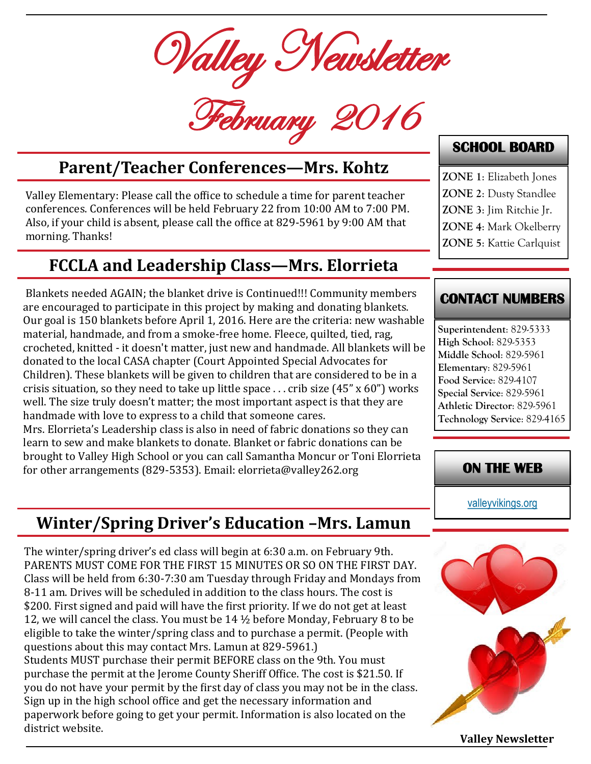Valley Newsletter

February 2016

## **Parent/Teacher Conferences—Mrs. Kohtz**

Valley Elementary: Please call the office to schedule a time for parent teacher conferences. Conferences will be held February 22 from 10:00 AM to 7:00 PM. Also, if your child is absent, please call the office at 829-5961 by 9:00 AM that morning. Thanks!

## **FCCLA and Leadership Class—Mrs. Elorrieta**

Blankets needed AGAIN; the blanket drive is Continued!!! Community members are encouraged to participate in this project by making and donating blankets. Our goal is 150 blankets before April 1, 2016. Here are the criteria: new washable material, handmade, and from a smoke-free home. Fleece, quilted, tied, rag, crocheted, knitted - it doesn't matter, just new and handmade. All blankets will be donated to the local CASA chapter (Court Appointed Special Advocates for Children). These blankets will be given to children that are considered to be in a crisis situation, so they need to take up little space . . . crib size (45" x 60") works well. The size truly doesn't matter; the most important aspect is that they are handmade with love to express to a child that someone cares.

Mrs. Elorrieta's Leadership class is also in need of fabric donations so they can learn to sew and make blankets to donate. Blanket or fabric donations can be brought to Valley High School or you can call Samantha Moncur or Toni Elorrieta for other arrangements (829-5353). Email: elorrieta@valley262.org

## **Winter/Spring Driver's Education –Mrs. Lamun**

The winter/spring driver's ed class will begin at 6:30 a.m. on February 9th. PARENTS MUST COME FOR THE FIRST 15 MINUTES OR SO ON THE FIRST DAY. Class will be held from 6:30-7:30 am Tuesday through Friday and Mondays from 8-11 am. Drives will be scheduled in addition to the class hours. The cost is \$200. First signed and paid will have the first priority. If we do not get at least 12, we will cancel the class. You must be 14 ½ before Monday, February 8 to be eligible to take the winter/spring class and to purchase a permit. (People with questions about this may contact Mrs. Lamun at 829-5961.) Students MUST purchase their permit BEFORE class on the 9th. You must purchase the permit at the Jerome County Sheriff Office. The cost is \$21.50. If you do not have your permit by the first day of class you may not be in the class. Sign up in the high school office and get the necessary information and paperwork before going to get your permit. Information is also located on the district website.

#### **SCHOOL BOARD**

**ZONE 1**: Elizabeth Jones **ZONE 2**: Dusty Standlee **ZONE 3**: Jim Ritchie Jr. **ZONE 4**: Mark Okelberry **ZONE 5**: Kattie Carlquist

#### **CONTACT NUMBERS**

**Superintendent**: 829-5333 **High School**: 829-5353 **Middle School**: 829-5961 **Elementary**: 829-5961 **Food Service**: 829-4107 **Special Service**: 829-5961 **Athletic Director**: 829-5961 **Technology Service**: 829-4165

#### **ON THE WEB**

[valleyvikings.org](http://www.valleyvikings.org/)



**Valley Newsletter**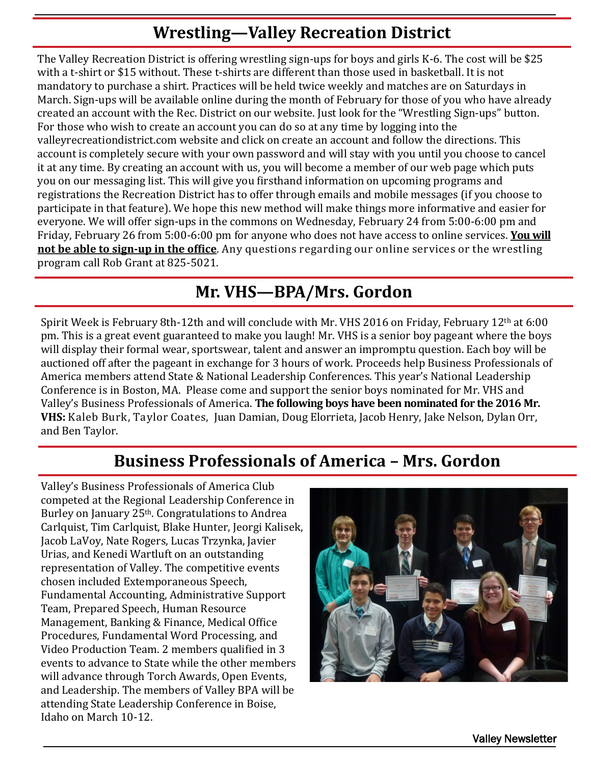# **Wrestling—Valley Recreation District**

The Valley Recreation District is offering wrestling sign-ups for boys and girls K-6. The cost will be \$25 with a t-shirt or \$15 without. These t-shirts are different than those used in basketball. It is not mandatory to purchase a shirt. Practices will be held twice weekly and matches are on Saturdays in March. Sign-ups will be available online during the month of February for those of you who have already created an account with the Rec. District on our website. Just look for the "Wrestling Sign-ups" button. For those who wish to create an account you can do so at any time by logging into the valleyrecreationdistrict.com website and click on create an account and follow the directions. This account is completely secure with your own password and will stay with you until you choose to cancel it at any time. By creating an account with us, you will become a member of our web page which puts you on our messaging list. This will give you firsthand information on upcoming programs and registrations the Recreation District has to offer through emails and mobile messages (if you choose to participate in that feature). We hope this new method will make things more informative and easier for everyone. We will offer sign-ups in the commons on Wednesday, February 24 from 5:00-6:00 pm and Friday, February 26 from 5:00-6:00 pm for anyone who does not have access to online services. **You will not be able to sign-up in the office**. Any questions regarding our online services or the wrestling program call Rob Grant at 825-5021.

## **Mr. VHS—BPA/Mrs. Gordon**

Spirit Week is February 8th-12th and will conclude with Mr. VHS 2016 on Friday, February 12th at 6:00 pm. This is a great event guaranteed to make you laugh! Mr. VHS is a senior boy pageant where the boys will display their formal wear, sportswear, talent and answer an impromptu question. Each boy will be auctioned off after the pageant in exchange for 3 hours of work. Proceeds help Business Professionals of America members attend State & National Leadership Conferences. This year's National Leadership Conference is in Boston, MA. Please come and support the senior boys nominated for Mr. VHS and Valley's Business Professionals of America. **The following boys have been nominated for the 2016 Mr. VHS:** Kaleb Burk, Taylor Coates, Juan Damian, Doug Elorrieta, Jacob Henry, Jake Nelson, Dylan Orr, and Ben Taylor.

## **Business Professionals of America – Mrs. Gordon**

Valley's Business Professionals of America Club competed at the Regional Leadership Conference in Burley on January 25th. Congratulations to Andrea Carlquist, Tim Carlquist, Blake Hunter, Jeorgi Kalisek, Jacob LaVoy, Nate Rogers, Lucas Trzynka, Javier Urias, and Kenedi Wartluft on an outstanding representation of Valley. The competitive events chosen included Extemporaneous Speech, Fundamental Accounting, Administrative Support Team, Prepared Speech, Human Resource Management, Banking & Finance, Medical Office Procedures, Fundamental Word Processing, and Video Production Team. 2 members qualified in 3 events to advance to State while the other members will advance through Torch Awards, Open Events, and Leadership. The members of Valley BPA will be attending State Leadership Conference in Boise, Idaho on March 10-12.